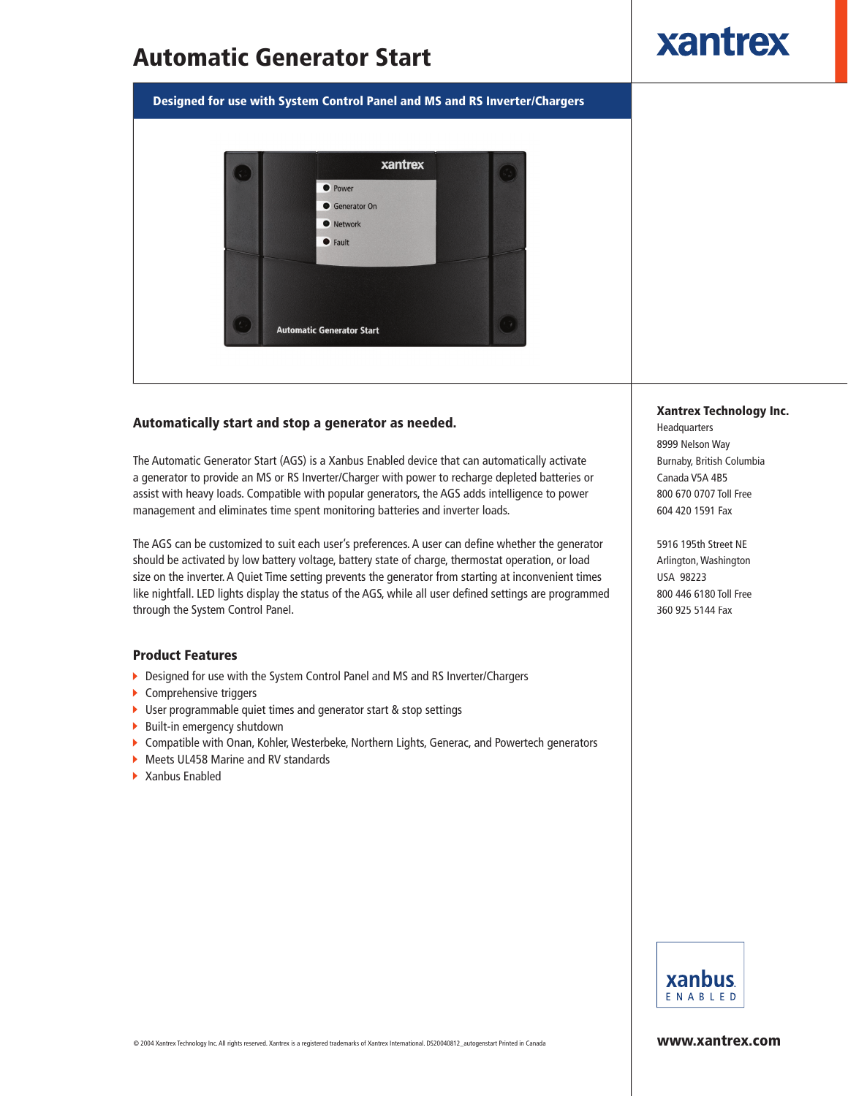# Automatic Generator Start

xantrex

Designed for use with System Control Panel and MS and RS Inverter/Chargers



### Automatically start and stop a generator as needed.

The Automatic Generator Start (AGS) is a Xanbus Enabled device that can automatically activate a generator to provide an MS or RS Inverter/Charger with power to recharge depleted batteries or assist with heavy loads. Compatible with popular generators, the AGS adds intelligence to power management and eliminates time spent monitoring batteries and inverter loads.

The AGS can be customized to suit each user's preferences. A user can define whether the generator should be activated by low battery voltage, battery state of charge, thermostat operation, or load size on the inverter. A Quiet Time setting prevents the generator from starting at inconvenient times like nightfall. LED lights display the status of the AGS, while all user defined settings are programmed through the System Control Panel.

### Product Features

- Designed for use with the System Control Panel and MS and RS Inverter/Chargers
- ▶ Comprehensive triggers
- ▶ User programmable quiet times and generator start & stop settings
- $\blacktriangleright$  Built-in emergency shutdown
- Compatible with Onan, Kohler, Westerbeke, Northern Lights, Generac, and Powertech generators
- ▶ Meets UL458 Marine and RV standards
- ▶ Xanbus Enabled

#### Xantrex Technology Inc.

Headquarters 8999 Nelson Way Burnaby, British Columbia Canada V5A 4B5 800 670 0707 Toll Free 604 420 1591 Fax

5916 195th Street NE Arlington, Washington USA 98223 800 446 6180 Toll Free 360 925 5144 Fax